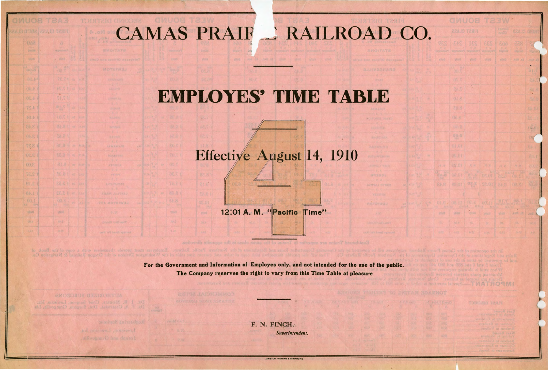## CAMAS PRAIF \_ RAILROAD CO.

## **EMPLOYES' TIME TABLE**

## Effective August 14, 1910

12:01 A. M. "Pacific Time"

**MOTORIA** 

岩石矿

For the Government and Information of Employes only, and not intended for the use of the public. The Company reserves the right to vary from this Time Table at pleasure

AUTHORIZED SURGEONS: OR. J. B. Mokkis, Chief Surgeon, Lewiston, Ida

Smoloved and provide standard with a copy of the Book of Washington Division of the Oregon Railroad & Navigation Co.

LA KINTING LELA ID TREG

4.27

日本名

3.27

ytisco

F. N. FINCH, *Superintendent .* 

**.EWISTON PRINTING & BINDING CO**